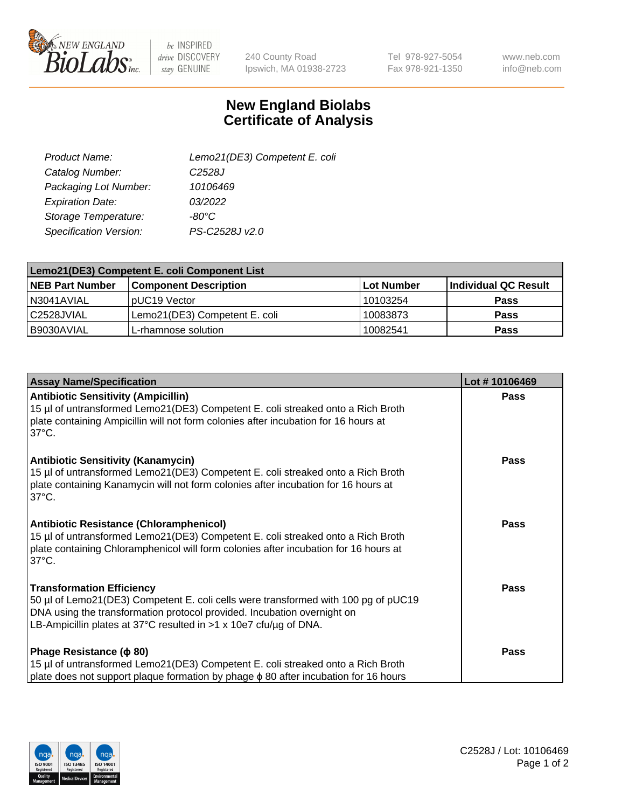

 $be$  INSPIRED drive DISCOVERY stay GENUINE

240 County Road Ipswich, MA 01938-2723 Tel 978-927-5054 Fax 978-921-1350

www.neb.com info@neb.com

## **New England Biolabs Certificate of Analysis**

| Lemo21(DE3) Competent E. coli |
|-------------------------------|
| C <sub>2528</sub> J           |
| 10106469                      |
| 03/2022                       |
| $-80^{\circ}$ C               |
| PS-C2528J v2.0                |
|                               |

| Lemo21(DE3) Competent E. coli Component List |                               |                   |                      |  |
|----------------------------------------------|-------------------------------|-------------------|----------------------|--|
| <b>NEB Part Number</b>                       | <b>Component Description</b>  | <b>Lot Number</b> | Individual QC Result |  |
| I N3041AVIAL                                 | IpUC19 Vector                 | 10103254          | Pass                 |  |
| C2528JVIAL                                   | Lemo21(DE3) Competent E. coli | 10083873          | <b>Pass</b>          |  |
| B9030AVIAL                                   | L-rhamnose solution           | 10082541          | <b>Pass</b>          |  |

| <b>Assay Name/Specification</b>                                                                                                                                                                                                                                               | Lot #10106469 |
|-------------------------------------------------------------------------------------------------------------------------------------------------------------------------------------------------------------------------------------------------------------------------------|---------------|
| <b>Antibiotic Sensitivity (Ampicillin)</b><br>15 µl of untransformed Lemo21(DE3) Competent E. coli streaked onto a Rich Broth<br>plate containing Ampicillin will not form colonies after incubation for 16 hours at<br>$37^{\circ}$ C.                                       | <b>Pass</b>   |
| <b>Antibiotic Sensitivity (Kanamycin)</b><br>15 µl of untransformed Lemo21(DE3) Competent E. coli streaked onto a Rich Broth<br>plate containing Kanamycin will not form colonies after incubation for 16 hours at<br>$37^{\circ}$ C.                                         | Pass          |
| <b>Antibiotic Resistance (Chloramphenicol)</b><br>15 µl of untransformed Lemo21(DE3) Competent E. coli streaked onto a Rich Broth<br>plate containing Chloramphenicol will form colonies after incubation for 16 hours at<br>$37^{\circ}$ C.                                  | <b>Pass</b>   |
| <b>Transformation Efficiency</b><br>50 µl of Lemo21(DE3) Competent E. coli cells were transformed with 100 pg of pUC19<br>DNA using the transformation protocol provided. Incubation overnight on<br>LB-Ampicillin plates at 37°C resulted in $>1 \times 10e7$ cfu/ug of DNA. | <b>Pass</b>   |
| Phage Resistance ( $\phi$ 80)<br>15 µl of untransformed Lemo21(DE3) Competent E. coli streaked onto a Rich Broth<br>plate does not support plaque formation by phage φ 80 after incubation for 16 hours                                                                       | <b>Pass</b>   |